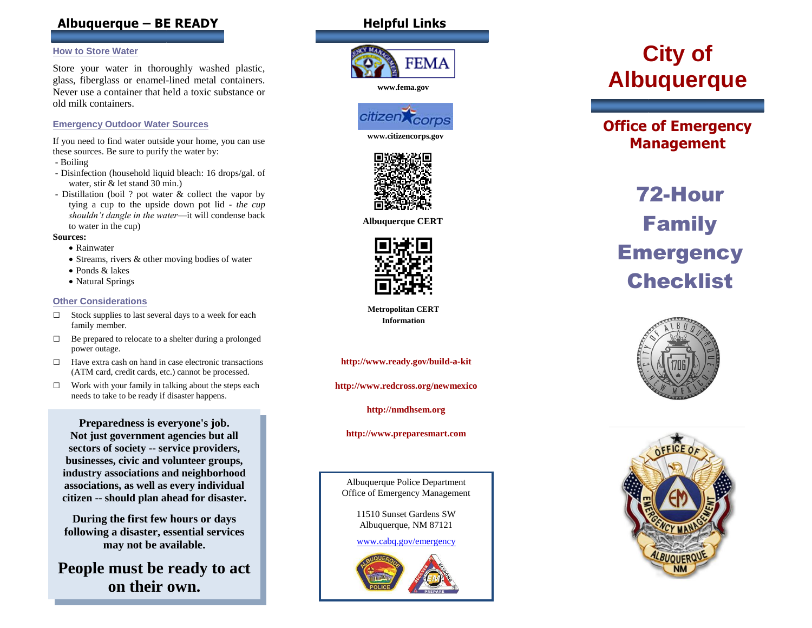# **Albuquerque – BE READY**

#### **How to Store Water**

Store your water in thoroughly washed plastic, glass, fiberglass or enamel -lined metal containers. Never use a container that held a toxic substance or old milk containers.

#### **Emergency Outdoor Water Sources**

If you need to find water outside your home, you can use these sources. Be sure to purify the water by:

- Boiling
- Disinfection (household liquid bleach: 16 drops/gal. of water, stir & let stand 30 min.)
- Distillation (boil ? pot water & collect the vapor by tying a cup to the upside down pot lid *- the cup shouldn't dangle in the water*—it will condense back to water in the cup)

#### **Sources:**

- Rainwater
- Streams, rivers & other moving bodies of water
- Ponds & lakes
- Natural Springs

#### **Other Considerations**

- □ Stock supplies to last several days to a week for each family member.
- $\Box$  Be prepared to relocate to a shelter during a prolonged power outage.
- □ Have extra cash on hand in case electronic transactions (ATM card, credit cards, etc.) cannot be processed.
- $\Box$  Work with your family in talking about the steps each needs to take to be ready if disaster happens.

**. Preparedness is everyone's job. Not just government agencies but all sectors of society -- service providers, businesses, civic and volunteer groups, industry associations and neighborhood associations, as well as every individual citizen -- should plan ahead for disaster.**

**During the first few hours or days following a disaster, essential services may not be available.**

**People must be ready to act on their own.**

# **Helpful Links**



**www.fema.gov**



**www.citizencorps.gov**



**Albuquerque CERT**



**Metropolitan CERT Information** 

**http://www.ready.gov/build - a -kit** 

**http://www.redcross.org/newmexico**

**http://nmdhsem.org**

**http://www.preparesmart.com**

Albuquerque Police Department Office of Emergency Management

> 11510 Sunset Gardens SW Albuquerque, NM 87121

> [www.cabq.gov/emergency](http://www.cabq.gov/emergency)



# **City of Albuquerque**

# **Office of Emergency Management**

# 72 -Hour Family **Emergency Checklist**